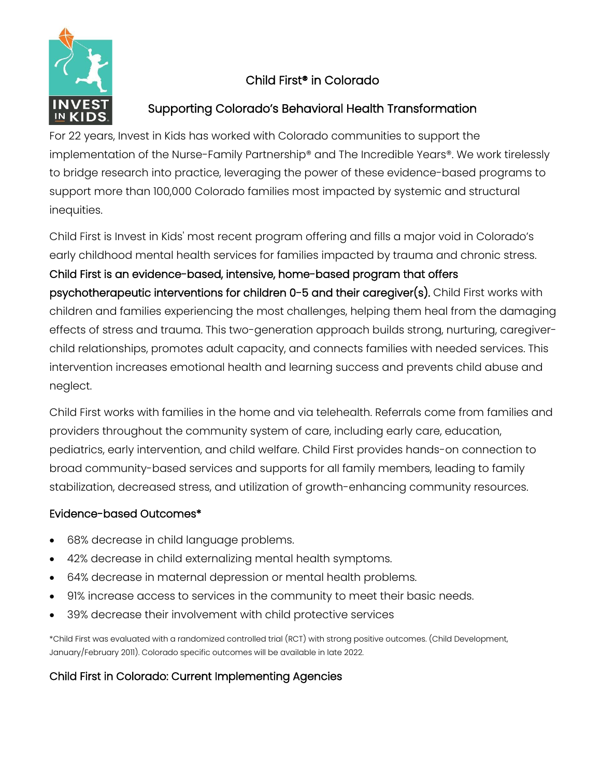

# Child First® in Colorado

# Supporting Colorado's Behavioral Health Transformation

For 22 years, Invest in Kids has worked with Colorado communities to support the implementation of the Nurse-Family Partnership® and The Incredible Years®. We work tirelessly to bridge research into practice, leveraging the power of these evidence-based programs to support more than 100,000 Colorado families most impacted by systemic and structural inequities.

Child First is Invest in Kids' most recent program offering and fills a major void in Colorado's early childhood mental health services for families impacted by trauma and chronic stress. Child First is an evidence-based, intensive, home-based program that offers psychotherapeutic interventions for children 0-5 and their caregiver(s). Child First works with children and families experiencing the most challenges, helping them heal from the damaging effects of stress and trauma. This two-generation approach builds strong, nurturing, caregiverchild relationships, promotes adult capacity, and connects families with needed services. This intervention increases emotional health and learning success and prevents child abuse and neglect.

Child First works with families in the home and via telehealth. Referrals come from families and providers throughout the community system of care, including early care, education, pediatrics, early intervention, and child welfare. Child First provides hands-on connection to broad community-based services and supports for all family members, leading to family stabilization, decreased stress, and utilization of growth-enhancing community resources.

## Evidence-based Outcomes\*

- 68% decrease in child language problems.
- 42% decrease in child externalizing mental health symptoms.
- 64% decrease in maternal depression or mental health problems.
- 91% increase access to services in the community to meet their basic needs.
- 39% decrease their involvement with child protective services

\*Child First was evaluated with a randomized controlled trial (RCT) with strong positive outcomes. (Child Development, January/February 2011). Colorado specific outcomes will be available in late 2022.

## Child First in Colorado: Current Implementing Agencies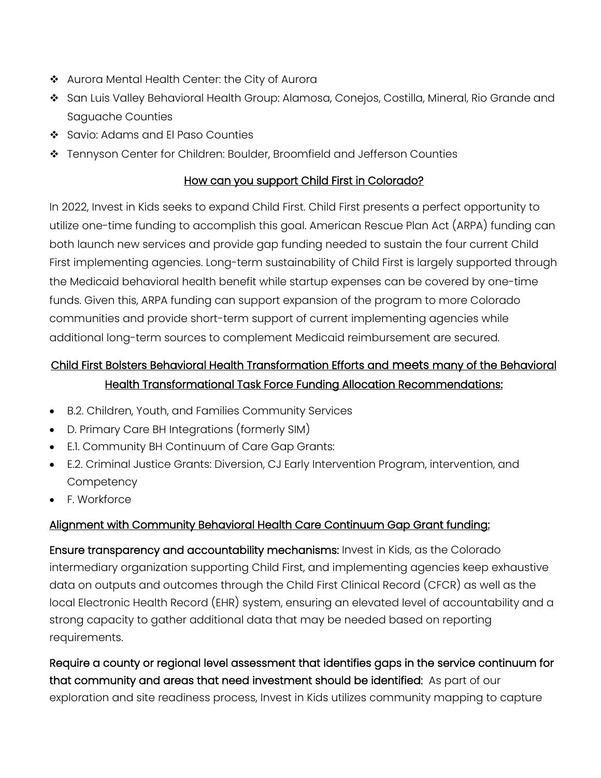- ❖ Aurora Mental Health Center: the City of Aurora
- ❖ San Luis Valley Behavioral Health Group: Alamosa, Conejos, Costilla, Mineral, Rio Grande and Saguache Counties
- ❖ Savio: Adams and El Paso Counties
- ❖ Tennyson Center for Children: Boulder, Broomfield and Jefferson Counties

#### How can you support Child First in Colorado?

In 2022, Invest in Kids seeks to expand Child First. Child First presents a perfect opportunity to utilize one-time funding to accomplish this goal. American Rescue Plan Act (ARPA) funding can both launch new services and provide gap funding needed to sustain the four current Child First implementing agencies. Long-term sustainability of Child First is largely supported through the Medicaid behavioral health benefit while startup expenses can be covered by one-time funds. Given this, ARPA funding can support expansion of the program to more Colorado communities and provide short-term support of current implementing agencies while additional long-term sources to complement Medicaid reimbursement are secured.

# Child First Bolsters Behavioral Health Transformation Efforts and meets many of the Behavioral Health Transformational Task Force Funding Allocation Recommendations:

- B.2. Children, Youth, and Families Community Services
- D. Primary Care BH Integrations (formerly SIM)
- E.1. Community BH Continuum of Care Gap Grants:
- E.2. Criminal Justice Grants: Diversion, CJ Early Intervention Program, intervention, and **Competency**
- F. Workforce

## Alignment with Community Behavioral Health Care Continuum Gap Grant funding:

Ensure transparency and accountability mechanisms: Invest in Kids, as the Colorado intermediary organization supporting Child First, and implementing agencies keep exhaustive data on outputs and outcomes through the Child First Clinical Record (CFCR) as well as the local Electronic Health Record (EHR) system, ensuring an elevated level of accountability and a strong capacity to gather additional data that may be needed based on reporting requirements.

Require a county or regional level assessment that identifies gaps in the service continuum for that community and areas that need investment should be identified: As part of our exploration and site readiness process, Invest in Kids utilizes community mapping to capture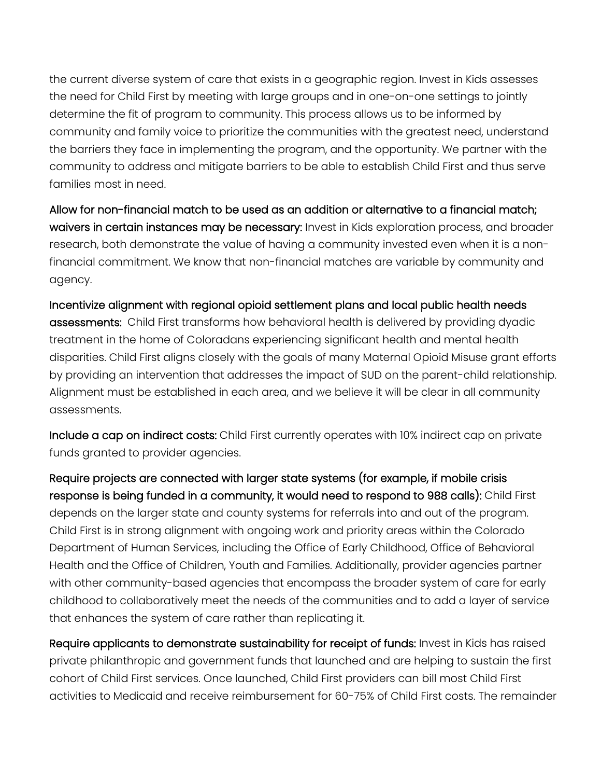the current diverse system of care that exists in a geographic region. Invest in Kids assesses the need for Child First by meeting with large groups and in one-on-one settings to jointly determine the fit of program to community. This process allows us to be informed by community and family voice to prioritize the communities with the greatest need, understand the barriers they face in implementing the program, and the opportunity. We partner with the community to address and mitigate barriers to be able to establish Child First and thus serve families most in need.

Allow for non-financial match to be used as an addition or alternative to a financial match; waivers in certain instances may be necessary: Invest in Kids exploration process, and broader research, both demonstrate the value of having a community invested even when it is a nonfinancial commitment. We know that non-financial matches are variable by community and agency.

Incentivize alignment with regional opioid settlement plans and local public health needs assessments: Child First transforms how behavioral health is delivered by providing dyadic treatment in the home of Coloradans experiencing significant health and mental health disparities. Child First aligns closely with the goals of many Maternal Opioid Misuse grant efforts by providing an intervention that addresses the impact of SUD on the parent-child relationship. Alignment must be established in each area, and we believe it will be clear in all community assessments.

Include a cap on indirect costs: Child First currently operates with 10% indirect cap on private funds granted to provider agencies.

Require projects are connected with larger state systems (for example, if mobile crisis response is being funded in a community, it would need to respond to 988 calls): Child First depends on the larger state and county systems for referrals into and out of the program. Child First is in strong alignment with ongoing work and priority areas within the Colorado Department of Human Services, including the Office of Early Childhood, Office of Behavioral Health and the Office of Children, Youth and Families. Additionally, provider agencies partner with other community-based agencies that encompass the broader system of care for early childhood to collaboratively meet the needs of the communities and to add a layer of service that enhances the system of care rather than replicating it.

Require applicants to demonstrate sustainability for receipt of funds: Invest in Kids has raised private philanthropic and government funds that launched and are helping to sustain the first cohort of Child First services. Once launched, Child First providers can bill most Child First activities to Medicaid and receive reimbursement for 60-75% of Child First costs. The remainder